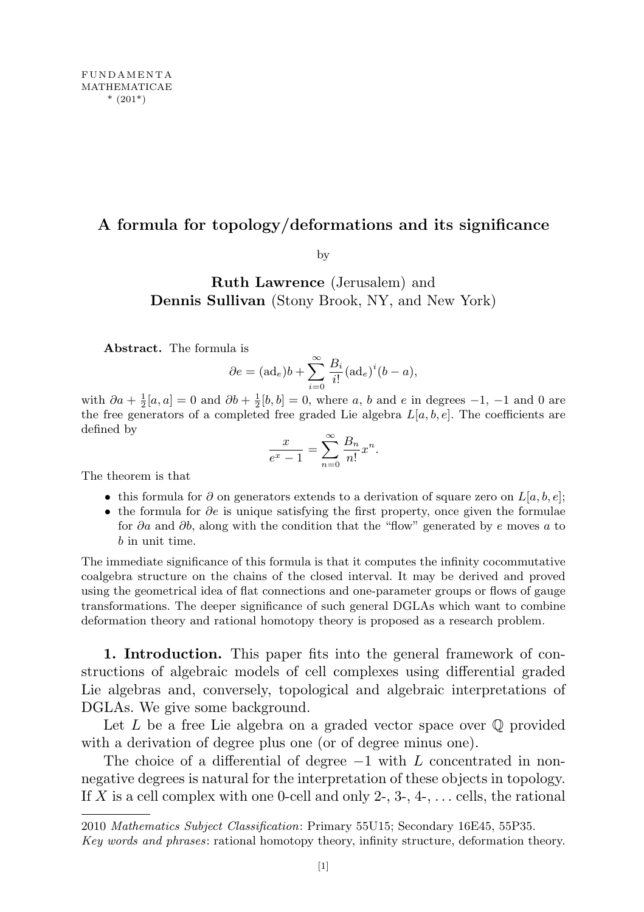## A formula for topology/deformations and its significance

by

Ruth Lawrence (Jerusalem) and Dennis Sullivan (Stony Brook, NY, and New York)

Abstract. The formula is

$$
\partial e = (ad_e)b + \sum_{i=0}^{\infty} \frac{B_i}{i!} (ad_e)^i (b - a),
$$

with  $\partial a + \frac{1}{2}[a, a] = 0$  and  $\partial b + \frac{1}{2}[b, b] = 0$ , where a, b and e in degrees -1, -1 and 0 are the free generators of a completed free graded Lie algebra  $L[a, b, e]$ . The coefficients are defined by

$$
\frac{x}{e^x - 1} = \sum_{n=0}^{\infty} \frac{B_n}{n!} x^n.
$$

The theorem is that

- this formula for  $\partial$  on generators extends to a derivation of square zero on  $L[a, b, e]$ ;
- the formula for  $\partial e$  is unique satisfying the first property, once given the formulae for ∂a and ∂b, along with the condition that the "flow" generated by e moves a to b in unit time.

The immediate significance of this formula is that it computes the infinity cocommutative coalgebra structure on the chains of the closed interval. It may be derived and proved using the geometrical idea of flat connections and one-parameter groups or flows of gauge transformations. The deeper significance of such general DGLAs which want to combine deformation theory and rational homotopy theory is proposed as a research problem.

1. Introduction. This paper fits into the general framework of constructions of algebraic models of cell complexes using differential graded Lie algebras and, conversely, topological and algebraic interpretations of DGLAs. We give some background.

Let  $L$  be a free Lie algebra on a graded vector space over  $\mathbb Q$  provided with a derivation of degree plus one (or of degree minus one).

The choice of a differential of degree  $-1$  with L concentrated in nonnegative degrees is natural for the interpretation of these objects in topology. If X is a cell complex with one 0-cell and only  $2, 3, 4, \ldots$  cells, the rational

<sup>2010</sup> Mathematics Subject Classification: Primary 55U15; Secondary 16E45, 55P35.

Key words and phrases: rational homotopy theory, infinity structure, deformation theory.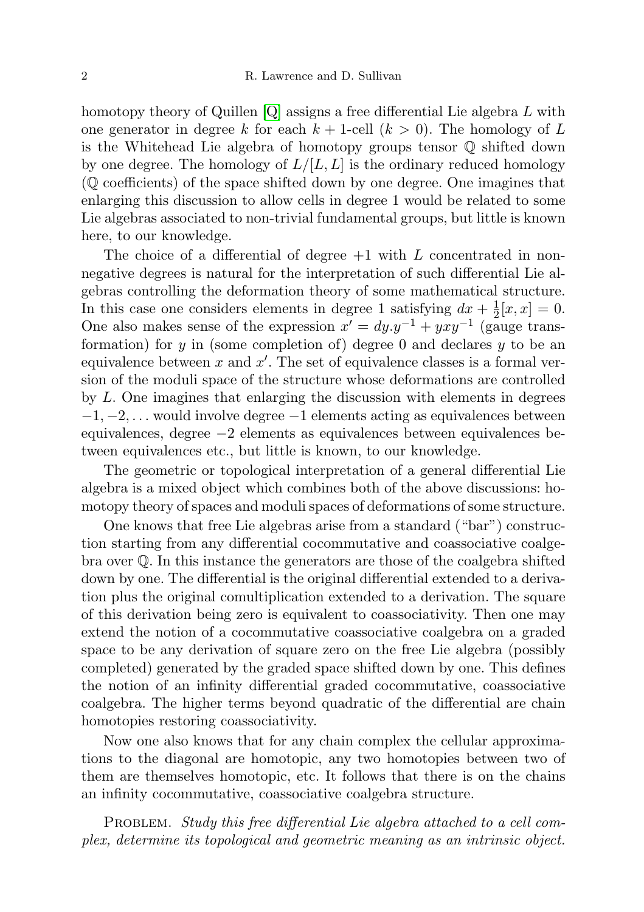homotopy theory of Quillen  $|Q|$  assigns a free differential Lie algebra L with one generator in degree k for each  $k + 1$ -cell  $(k > 0)$ . The homology of L is the Whitehead Lie algebra of homotopy groups tensor Q shifted down by one degree. The homology of  $L/[L, L]$  is the ordinary reduced homology (Q coefficients) of the space shifted down by one degree. One imagines that enlarging this discussion to allow cells in degree 1 would be related to some Lie algebras associated to non-trivial fundamental groups, but little is known here, to our knowledge.

The choice of a differential of degree  $+1$  with L concentrated in nonnegative degrees is natural for the interpretation of such differential Lie algebras controlling the deformation theory of some mathematical structure. In this case one considers elements in degree 1 satisfying  $dx + \frac{1}{2}$  $\frac{1}{2}[x, x] = 0.$ One also makes sense of the expression  $x' = dy \cdot y^{-1} + yxy^{-1}$  (gauge transformation) for y in (some completion of) degree 0 and declares  $y$  to be an equivalence between  $x$  and  $x'$ . The set of equivalence classes is a formal version of the moduli space of the structure whose deformations are controlled by L. One imagines that enlarging the discussion with elements in degrees  $-1, -2, \ldots$  would involve degree  $-1$  elements acting as equivalences between equivalences, degree −2 elements as equivalences between equivalences between equivalences etc., but little is known, to our knowledge.

The geometric or topological interpretation of a general differential Lie algebra is a mixed object which combines both of the above discussions: homotopy theory of spaces and moduli spaces of deformations of some structure.

One knows that free Lie algebras arise from a standard ("bar") construction starting from any differential cocommutative and coassociative coalgebra over Q. In this instance the generators are those of the coalgebra shifted down by one. The differential is the original differential extended to a derivation plus the original comultiplication extended to a derivation. The square of this derivation being zero is equivalent to coassociativity. Then one may extend the notion of a cocommutative coassociative coalgebra on a graded space to be any derivation of square zero on the free Lie algebra (possibly completed) generated by the graded space shifted down by one. This defines the notion of an infinity differential graded cocommutative, coassociative coalgebra. The higher terms beyond quadratic of the differential are chain homotopies restoring coassociativity.

Now one also knows that for any chain complex the cellular approximations to the diagonal are homotopic, any two homotopies between two of them are themselves homotopic, etc. It follows that there is on the chains an infinity cocommutative, coassociative coalgebra structure.

PROBLEM. Study this free differential Lie algebra attached to a cell complex, determine its topological and geometric meaning as an intrinsic object.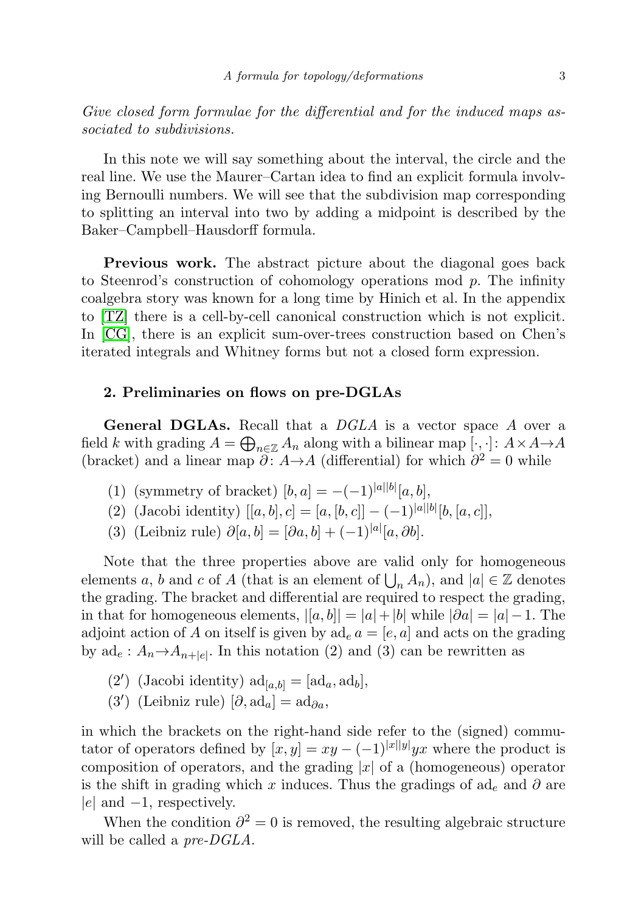Give closed form formulae for the differential and for the induced maps associated to subdivisions.

In this note we will say something about the interval, the circle and the real line. We use the Maurer–Cartan idea to find an explicit formula involving Bernoulli numbers. We will see that the subdivision map corresponding to splitting an interval into two by adding a midpoint is described by the Baker–Campbell–Hausdorff formula.

Previous work. The abstract picture about the diagonal goes back to Steenrod's construction of cohomology operations mod  $p$ . The infinity coalgebra story was known for a long time by Hinich et al. In the appendix to [\[TZ\]](#page-12-1) there is a cell-by-cell canonical construction which is not explicit. In [\[CG\]](#page-12-2), there is an explicit sum-over-trees construction based on Chen's iterated integrals and Whitney forms but not a closed form expression.

## 2. Preliminaries on flows on pre-DGLAs

General DGLAs. Recall that a DGLA is a vector space A over a field k with grading  $A = \bigoplus_{n \in \mathbb{Z}} A_n$  along with a bilinear map  $[\cdot, \cdot]$ :  $A \times A \rightarrow A$ (bracket) and a linear map  $\tilde{\partial}$ : A→A (differential) for which  $\partial^2 = 0$  while

- (1) (symmetry of bracket)  $[b, a] = -(-1)^{|a||b|} [a, b],$
- (2) (Jacobi identity)  $[[a, b], c] = [a, [b, c]] (-1)^{|a||b|} [b, [a, c]],$
- (3) (Leibniz rule)  $\partial[a, b] = [\partial a, b] + (-1)^{|a|}[a, \partial b].$

Note that the three properties above are valid only for homogeneous elements a, b and c of A (that is an element of  $\bigcup_n A_n$ ), and  $|a| \in \mathbb{Z}$  denotes the grading. The bracket and differential are required to respect the grading, in that for homogeneous elements,  $|[a, b]| = |a| + |b|$  while  $|\partial a| = |a| - 1$ . The adjoint action of A on itself is given by  $ad_e a = [e, a]$  and acts on the grading by  $ad_e: A_n \to A_{n+|e|}$ . In this notation (2) and (3) can be rewritten as

- (2') (Jacobi identity)  $ad_{[a,b]} = [ad_a, ad_b],$
- (3') (Leibniz rule)  $[\partial, ad_a] = ad_{\partial a}$ ,

in which the brackets on the right-hand side refer to the (signed) commutator of operators defined by  $[x, y] = xy - (-1)^{|x||y|} yx$  where the product is composition of operators, and the grading  $|x|$  of a (homogeneous) operator is the shift in grading which x induces. Thus the gradings of  $ad_e$  and  $\partial$  are  $|e|$  and  $-1$ , respectively.

When the condition  $\partial^2 = 0$  is removed, the resulting algebraic structure will be called a *pre-DGLA*.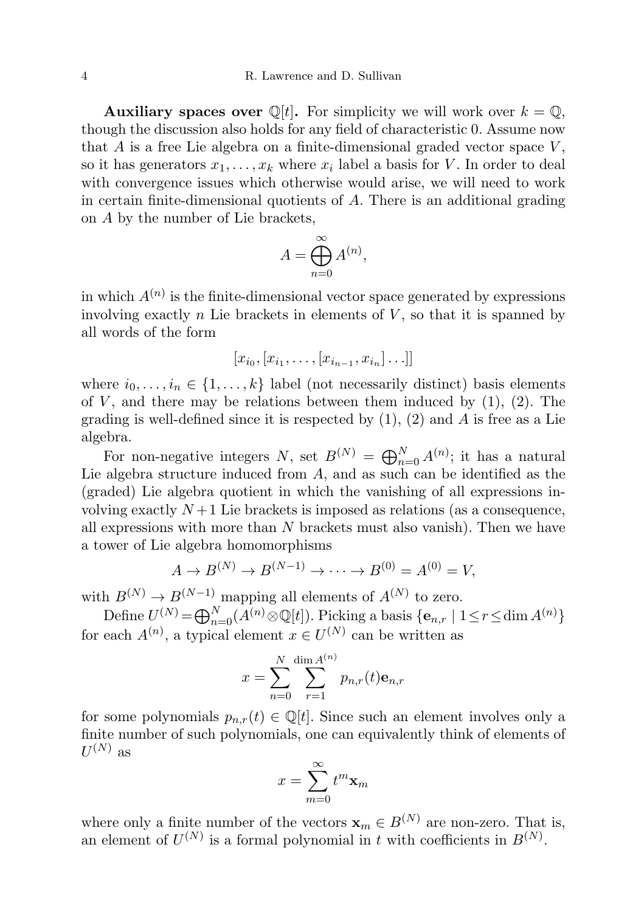**Auxiliary spaces over**  $\mathbb{Q}[t]$ **.** For simplicity we will work over  $k = \mathbb{Q}$ , though the discussion also holds for any field of characteristic 0. Assume now that  $A$  is a free Lie algebra on a finite-dimensional graded vector space  $V$ , so it has generators  $x_1, \ldots, x_k$  where  $x_i$  label a basis for V. In order to deal with convergence issues which otherwise would arise, we will need to work in certain finite-dimensional quotients of A. There is an additional grading on A by the number of Lie brackets,

$$
A = \bigoplus_{n=0}^{\infty} A^{(n)},
$$

in which  $A^{(n)}$  is the finite-dimensional vector space generated by expressions involving exactly  $n$  Lie brackets in elements of  $V$ , so that it is spanned by all words of the form

$$
[x_{i_0}, [x_{i_1}, \ldots, [x_{i_{n-1}}, x_{i_n}] \ldots]]
$$

where  $i_0, \ldots, i_n \in \{1, \ldots, k\}$  label (not necessarily distinct) basis elements of  $V$ , and there may be relations between them induced by  $(1)$ ,  $(2)$ . The grading is well-defined since it is respected by  $(1)$ ,  $(2)$  and A is free as a Lie algebra.

For non-negative integers N, set  $B^{(N)} = \bigoplus_{n=0}^{N} A^{(n)}$ ; it has a natural Lie algebra structure induced from  $A$ , and as such can be identified as the (graded) Lie algebra quotient in which the vanishing of all expressions involving exactly  $N+1$  Lie brackets is imposed as relations (as a consequence, all expressions with more than  $N$  brackets must also vanish). Then we have a tower of Lie algebra homomorphisms

$$
A \to B^{(N)} \to B^{(N-1)} \to \cdots \to B^{(0)} = A^{(0)} = V,
$$

with  $B^{(N)} \to B^{(N-1)}$  mapping all elements of  $A^{(N)}$  to zero.

Define  $U^{(N)} = \bigoplus_{n=0}^{N} (A^{(n)} \otimes \mathbb{Q}[t])$ . Picking a basis  $\{e_{n,r} \mid 1 \leq r \leq \dim A^{(n)}\}$ for each  $A^{(n)}$ , a typical element  $x \in U^{(N)}$  can be written as

$$
x = \sum_{n=0}^{N} \sum_{r=1}^{\dim A^{(n)}} p_{n,r}(t) \mathbf{e}_{n,r}
$$

for some polynomials  $p_{n,r}(t) \in \mathbb{Q}[t]$ . Since such an element involves only a finite number of such polynomials, one can equivalently think of elements of  $U^{(N)}$  as

$$
x = \sum_{m=0}^{\infty} t^m \mathbf{x}_m
$$

where only a finite number of the vectors  $\mathbf{x}_m \in B^{(N)}$  are non-zero. That is, an element of  $U^{(N)}$  is a formal polynomial in t with coefficients in  $B^{(N)}$ .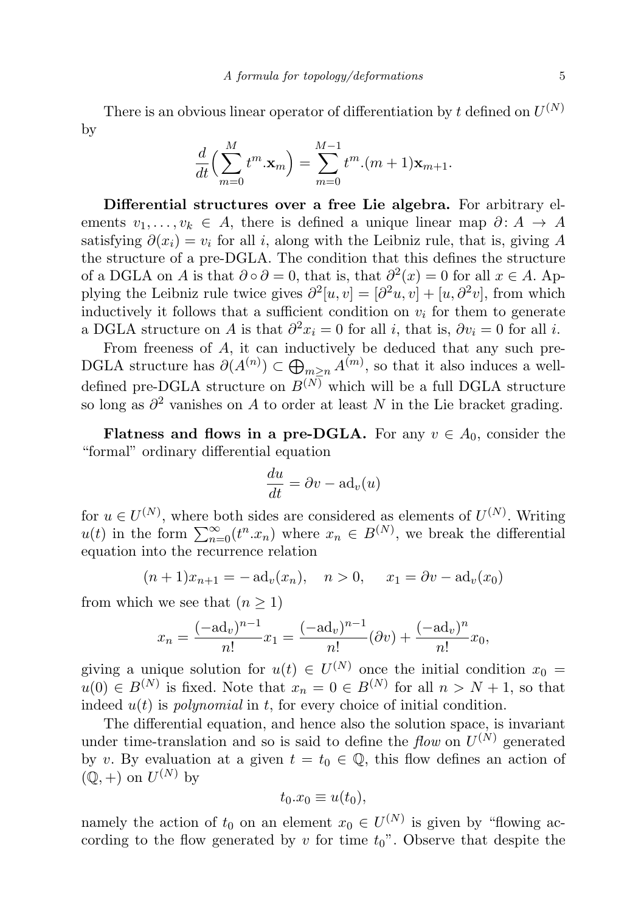There is an obvious linear operator of differentiation by t defined on  $U^{(N)}$ by

$$
\frac{d}{dt}\left(\sum_{m=0}^{M} t^{m} \cdot \mathbf{x}_{m}\right) = \sum_{m=0}^{M-1} t^{m} \cdot (m+1) \mathbf{x}_{m+1}.
$$

Differential structures over a free Lie algebra. For arbitrary elements  $v_1, \ldots, v_k \in A$ , there is defined a unique linear map  $\partial : A \to A$ satisfying  $\partial(x_i) = v_i$  for all i, along with the Leibniz rule, that is, giving A the structure of a pre-DGLA. The condition that this defines the structure of a DGLA on A is that  $\partial \circ \partial = 0$ , that is, that  $\partial^2(x) = 0$  for all  $x \in A$ . Applying the Leibniz rule twice gives  $\partial^2[u, v] = [\partial^2 u, v] + [u, \partial^2 v]$ , from which inductively it follows that a sufficient condition on  $v_i$  for them to generate a DGLA structure on A is that  $\partial^2 x_i = 0$  for all i, that is,  $\partial v_i = 0$  for all i.

From freeness of A, it can inductively be deduced that any such pre-DGLA structure has  $\partial(A^{(n)}) \subset \bigoplus_{m \geq n} A^{(m)}$ , so that it also induces a welldefined pre-DGLA structure on  $B^{(N)}$  which will be a full DGLA structure so long as  $\partial^2$  vanishes on A to order at least N in the Lie bracket grading.

Flatness and flows in a pre-DGLA. For any  $v \in A_0$ , consider the "formal" ordinary differential equation

$$
\frac{du}{dt} = \partial v - ad_v(u)
$$

for  $u \in U^{(N)}$ , where both sides are considered as elements of  $U^{(N)}$ . Writing  $u(t)$  in the form  $\sum_{n=0}^{\infty} (t^n x_n)$  where  $x_n \in B^{(N)}$ , we break the differential equation into the recurrence relation

$$
(n+1)x_{n+1} = -ad_v(x_n), \quad n > 0, \quad x_1 = \partial v - ad_v(x_0)
$$

from which we see that  $(n \geq 1)$ 

$$
x_n = \frac{(-\mathrm{ad}_v)^{n-1}}{n!} x_1 = \frac{(-\mathrm{ad}_v)^{n-1}}{n!} (\partial v) + \frac{(-\mathrm{ad}_v)^n}{n!} x_0,
$$

giving a unique solution for  $u(t) \in U^{(N)}$  once the initial condition  $x_0 =$  $u(0) \in B<sup>(N)</sup>$  is fixed. Note that  $x_n = 0 \in B<sup>(N)</sup>$  for all  $n > N + 1$ , so that indeed  $u(t)$  is *polynomial* in t, for every choice of initial condition.

The differential equation, and hence also the solution space, is invariant under time-translation and so is said to define the flow on  $U^{(N)}$  generated by v. By evaluation at a given  $t = t_0 \in \mathbb{Q}$ , this flow defines an action of  $(\mathbb{Q}, +)$  on  $U^{(N)}$  by

$$
t_0 \cdot x_0 \equiv u(t_0),
$$

namely the action of  $t_0$  on an element  $x_0 \in U^{(N)}$  is given by "flowing according to the flow generated by v for time  $t_0$ ". Observe that despite the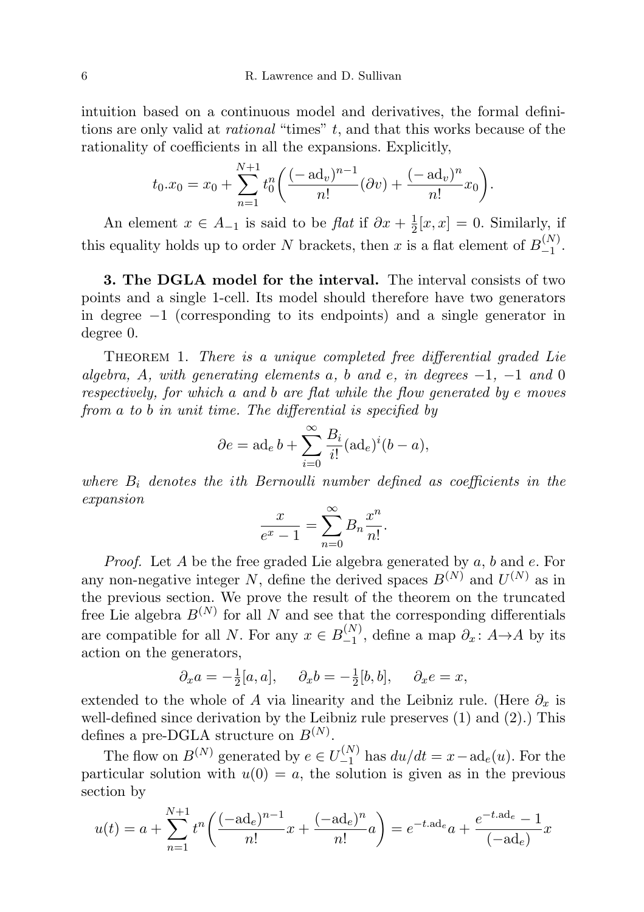intuition based on a continuous model and derivatives, the formal definitions are only valid at *rational* "times" t, and that this works because of the rationality of coefficients in all the expansions. Explicitly,

$$
t_0 \cdot x_0 = x_0 + \sum_{n=1}^{N+1} t_0^n \left( \frac{(-\operatorname{ad}_v)^{n-1}}{n!} (\partial v) + \frac{(-\operatorname{ad}_v)^n}{n!} x_0 \right).
$$

An element  $x \in A_{-1}$  is said to be  $\text{flat if } \partial x + \frac{1}{2}$  $\frac{1}{2}[x, x] = 0$ . Similarly, if this equality holds up to order N brackets, then x is a flat element of  $B_{-1}^{(N)}$  $\frac{1}{1}$ .

3. The DGLA model for the interval. The interval consists of two points and a single 1-cell. Its model should therefore have two generators in degree −1 (corresponding to its endpoints) and a single generator in degree 0.

THEOREM 1. There is a unique completed free differential graded Lie algebra, A, with generating elements a, b and e, in degrees  $-1$ ,  $-1$  and 0 respectively, for which a and b are flat while the flow generated by e moves from a to b in unit time. The differential is specified by

$$
\partial e = \operatorname{ad}_e b + \sum_{i=0}^{\infty} \frac{B_i}{i!} (\operatorname{ad}_e)^i (b - a),
$$

where  $B_i$  denotes the ith Bernoulli number defined as coefficients in the expansion

$$
\frac{x}{e^x - 1} = \sum_{n=0}^{\infty} B_n \frac{x^n}{n!}.
$$

*Proof.* Let  $A$  be the free graded Lie algebra generated by  $a, b$  and  $e$ . For any non-negative integer N, define the derived spaces  $B^{(N)}$  and  $U^{(N)}$  as in the previous section. We prove the result of the theorem on the truncated free Lie algebra  $B^{(N)}$  for all N and see that the corresponding differentials are compatible for all N. For any  $x \in B_{-1}^{(N)}$  $\bigcup_{-1}^{(N)}$ , define a map  $\partial_x: A \rightarrow A$  by its action on the generators,

$$
\partial_x a = -\frac{1}{2}[a, a], \quad \partial_x b = -\frac{1}{2}[b, b], \quad \partial_x e = x,
$$

extended to the whole of A via linearity and the Leibniz rule. (Here  $\partial_x$  is well-defined since derivation by the Leibniz rule preserves (1) and (2).) This defines a pre-DGLA structure on  $B^{(N)}$ .

The flow on  $B^{(N)}$  generated by  $e \in U_{-1}^{(N)}$  $\int_{-1}^{(N)}$  has  $du/dt = x - ad_e(u)$ . For the particular solution with  $u(0) = a$ , the solution is given as in the previous section by

$$
u(t) = a + \sum_{n=1}^{N+1} t^n \left( \frac{(-\text{ad}_e)^{n-1}}{n!} x + \frac{(-\text{ad}_e)^n}{n!} a \right) = e^{-t \cdot \text{ad}_e} a + \frac{e^{-t \cdot \text{ad}_e} - 1}{(-\text{ad}_e)} x
$$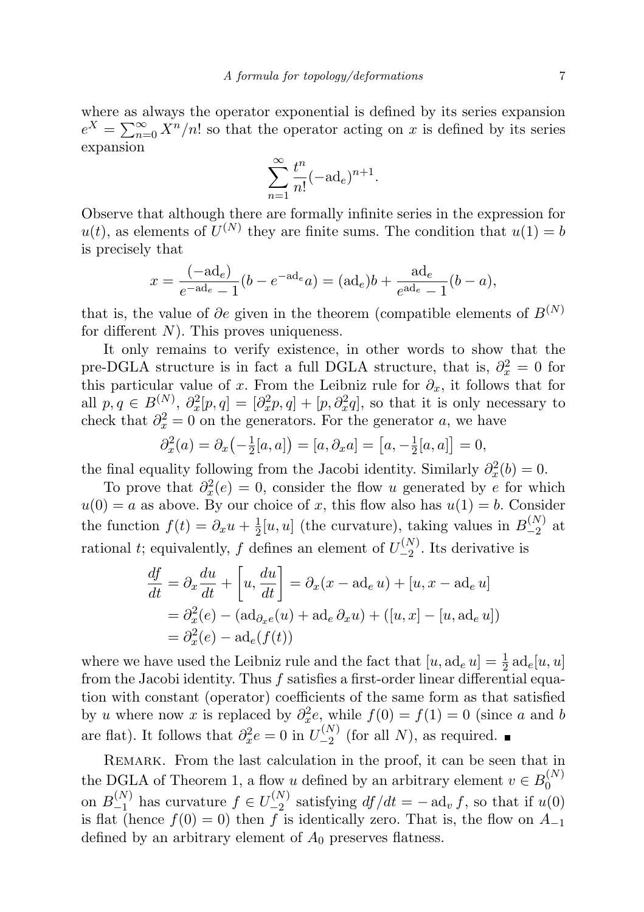where as always the operator exponential is defined by its series expansion  $e^X = \sum_{n=0}^{\infty} X^n/n!$  so that the operator acting on x is defined by its series expansion

$$
\sum_{n=1}^{\infty} \frac{t^n}{n!} (-\mathrm{ad}_e)^{n+1}.
$$

Observe that although there are formally infinite series in the expression for  $u(t)$ , as elements of  $U^{(N)}$  they are finite sums. The condition that  $u(1) = b$ is precisely that

$$
x = \frac{(-ad_e)}{e^{-ad_e} - 1}(b - e^{-ad_e}a) = (ad_e)b + \frac{ad_e}{e^{ad_e} - 1}(b - a),
$$

that is, the value of ∂e given in the theorem (compatible elements of  $B^{(N)}$ ) for different  $N$ ). This proves uniqueness.

It only remains to verify existence, in other words to show that the pre-DGLA structure is in fact a full DGLA structure, that is,  $\partial_x^2 = 0$  for this particular value of x. From the Leibniz rule for  $\partial_x$ , it follows that for all  $p, q \in B^{(N)}$ ,  $\partial_x^2[p, q] = [\partial_x^2p, q] + [p, \partial_x^2q]$ , so that it is only necessary to check that  $\partial_x^2 = 0$  on the generators. For the generator a, we have

$$
\partial_x^2(a) = \partial_x(-\tfrac{1}{2}[a,a]) = [a,\partial_x a] = [a,-\tfrac{1}{2}[a,a]] = 0,
$$

the final equality following from the Jacobi identity. Similarly  $\partial_x^2(b) = 0$ .

To prove that  $\partial_x^2(e) = 0$ , consider the flow u generated by e for which  $u(0) = a$  as above. By our choice of x, this flow also has  $u(1) = b$ . Consider the function  $f(t) = \partial_x u + \frac{1}{2}$  $\frac{1}{2}[u, u]$  (the curvature), taking values in  $B_{-2}^{(N)}$  $\frac{1}{2}$  at rational t; equivalently, f defines an element of  $U_{-2}^{(N)}$  $\frac{1}{2}$ . Its derivative is

$$
\frac{df}{dt} = \partial_x \frac{du}{dt} + \left[ u, \frac{du}{dt} \right] = \partial_x (x - \text{ad}_e u) + [u, x - \text{ad}_e u]
$$

$$
= \partial_x^2(e) - (\text{ad}_{\partial_x e}(u) + \text{ad}_e \partial_x u) + ([u, x] - [u, \text{ad}_e u])
$$

$$
= \partial_x^2(e) - \text{ad}_e(f(t))
$$

where we have used the Leibniz rule and the fact that  $[u, ad_e u] = \frac{1}{2} ad_e [u, u]$ from the Jacobi identity. Thus f satisfies a first-order linear differential equation with constant (operator) coefficients of the same form as that satisfied by u where now x is replaced by  $\partial_x^2 e$ , while  $f(0) = f(1) = 0$  (since a and b are flat). It follows that  $\partial_x^2 e = 0$  in  $U_{-2}^{(N)}$  $\binom{N}{-2}$  (for all N), as required.

Remark. From the last calculation in the proof, it can be seen that in the DGLA of Theorem 1, a flow u defined by an arbitrary element  $v \in B_0^{(N)}$ 0 on  $B_{-1}^{(N)}$  $\binom{N}{-1}$  has curvature  $f \in U_{-2}^{(N)}$  $\int_{-2}^{(N)}$  satisfying  $df/dt = - \operatorname{ad}_v f$ , so that if  $u(0)$ is flat (hence  $f(0) = 0$ ) then f is identically zero. That is, the flow on  $A_{-1}$ defined by an arbitrary element of  $A_0$  preserves flatness.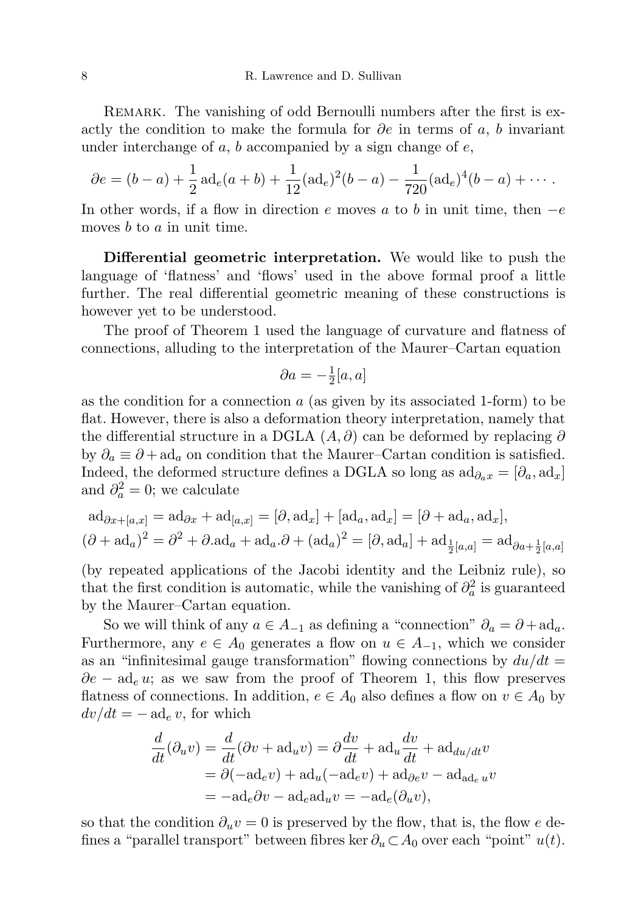Remark. The vanishing of odd Bernoulli numbers after the first is exactly the condition to make the formula for  $\partial e$  in terms of a, b invariant under interchange of  $a, b$  accompanied by a sign change of  $e$ ,

$$
\partial e = (b - a) + \frac{1}{2} \operatorname{ad}_e(a + b) + \frac{1}{12} (\operatorname{ad}_e)^2 (b - a) - \frac{1}{720} (\operatorname{ad}_e)^4 (b - a) + \cdots.
$$

In other words, if a flow in direction e moves a to b in unit time, then  $-e$ moves b to a in unit time.

Differential geometric interpretation. We would like to push the language of 'flatness' and 'flows' used in the above formal proof a little further. The real differential geometric meaning of these constructions is however yet to be understood.

The proof of Theorem 1 used the language of curvature and flatness of connections, alluding to the interpretation of the Maurer–Cartan equation

$$
\partial a = -\frac{1}{2}[a, a]
$$

as the condition for a connection  $a$  (as given by its associated 1-form) to be flat. However, there is also a deformation theory interpretation, namely that the differential structure in a DGLA  $(A, \partial)$  can be deformed by replacing  $\partial$ by  $\partial_a \equiv \partial + \mathrm{ad}_a$  on condition that the Maurer–Cartan condition is satisfied. Indeed, the deformed structure defines a DGLA so long as  $\mathrm{ad}_{\partial_a x} = [\partial_a, \mathrm{ad}_x]$ and  $\partial_a^2 = 0$ ; we calculate

$$
ad_{\partial x+[a,x]} = ad_{\partial x} + ad_{[a,x]} = [\partial, ad_x] + [ad_a, ad_x] = [\partial + ad_a, ad_x],
$$
  

$$
(\partial + ad_a)^2 = \partial^2 + \partial ad_a + ad_a \partial + (ad_a)^2 = [\partial, ad_a] + ad_{\frac{1}{2}[a,a]} = ad_{\partial a + \frac{1}{2}[a,a]}
$$

(by repeated applications of the Jacobi identity and the Leibniz rule), so that the first condition is automatic, while the vanishing of  $\partial_a^2$  is guaranteed by the Maurer–Cartan equation.

So we will think of any  $a \in A_{-1}$  as defining a "connection"  $\partial_a = \partial + \mathrm{ad}_a$ . Furthermore, any  $e \in A_0$  generates a flow on  $u \in A_{-1}$ , which we consider as an "infinitesimal gauge transformation" flowing connections by  $du/dt =$  $\partial e$  – ad<sub>e</sub> u; as we saw from the proof of Theorem 1, this flow preserves flatness of connections. In addition,  $e \in A_0$  also defines a flow on  $v \in A_0$  by  $dv/dt = - \operatorname{ad}_{e} v$ , for which

$$
\frac{d}{dt}(\partial_u v) = \frac{d}{dt}(\partial v + \mathrm{ad}_u v) = \partial \frac{dv}{dt} + \mathrm{ad}_u \frac{dv}{dt} + \mathrm{ad}_{du/dt} v
$$
  
=  $\partial(-\mathrm{ad}_e v) + \mathrm{ad}_u(-\mathrm{ad}_e v) + \mathrm{ad}_{\partial e} v - \mathrm{ad}_{\mathrm{ad}_e} u v$   
=  $-\mathrm{ad}_e \partial v - \mathrm{ad}_e \mathrm{ad}_u v = -\mathrm{ad}_e(\partial_u v),$ 

so that the condition  $\partial_u v = 0$  is preserved by the flow, that is, the flow e defines a "parallel transport" between fibres ker  $\partial_u \subset A_0$  over each "point"  $u(t)$ .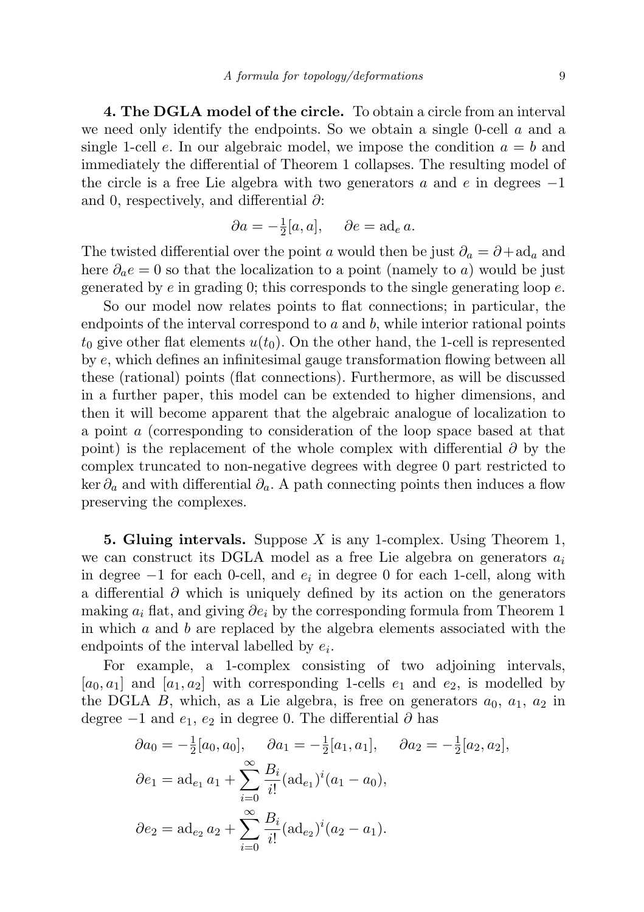4. The DGLA model of the circle. To obtain a circle from an interval we need only identify the endpoints. So we obtain a single 0-cell  $a$  and a single 1-cell e. In our algebraic model, we impose the condition  $a = b$  and immediately the differential of Theorem 1 collapses. The resulting model of the circle is a free Lie algebra with two generators a and e in degrees  $-1$ and 0, respectively, and differential ∂:

$$
\partial a = -\frac{1}{2}[a, a], \quad \partial e = \operatorname{ad}_e a.
$$

The twisted differential over the point a would then be just  $\partial_a = \partial + \mathrm{ad}_a$  and here  $\partial_a e = 0$  so that the localization to a point (namely to a) would be just generated by  $e$  in grading 0; this corresponds to the single generating loop  $e$ .

So our model now relates points to flat connections; in particular, the endpoints of the interval correspond to  $a$  and  $b$ , while interior rational points  $t_0$  give other flat elements  $u(t_0)$ . On the other hand, the 1-cell is represented by e, which defines an infinitesimal gauge transformation flowing between all these (rational) points (flat connections). Furthermore, as will be discussed in a further paper, this model can be extended to higher dimensions, and then it will become apparent that the algebraic analogue of localization to a point a (corresponding to consideration of the loop space based at that point) is the replacement of the whole complex with differential  $\partial$  by the complex truncated to non-negative degrees with degree 0 part restricted to ker  $\partial_a$  and with differential  $\partial_a$ . A path connecting points then induces a flow preserving the complexes.

**5. Gluing intervals.** Suppose X is any 1-complex. Using Theorem 1, we can construct its DGLA model as a free Lie algebra on generators  $a_i$ in degree  $-1$  for each 0-cell, and  $e_i$  in degree 0 for each 1-cell, along with a differential  $\partial$  which is uniquely defined by its action on the generators making  $a_i$  flat, and giving  $\partial e_i$  by the corresponding formula from Theorem 1 in which  $a$  and  $b$  are replaced by the algebra elements associated with the endpoints of the interval labelled by  $e_i$ .

For example, a 1-complex consisting of two adjoining intervals,  $[a_0, a_1]$  and  $[a_1, a_2]$  with corresponding 1-cells  $e_1$  and  $e_2$ , is modelled by the DGLA  $B$ , which, as a Lie algebra, is free on generators  $a_0$ ,  $a_1$ ,  $a_2$  in degree −1 and  $e_1, e_2$  in degree 0. The differential  $\partial$  has

$$
\partial a_0 = -\frac{1}{2}[a_0, a_0], \quad \partial a_1 = -\frac{1}{2}[a_1, a_1], \quad \partial a_2 = -\frac{1}{2}[a_2, a_2],
$$
  

$$
\partial e_1 = \text{ad}_{e_1} a_1 + \sum_{i=0}^{\infty} \frac{B_i}{i!} (\text{ad}_{e_1})^i (a_1 - a_0),
$$
  

$$
\partial e_2 = \text{ad}_{e_2} a_2 + \sum_{i=0}^{\infty} \frac{B_i}{i!} (\text{ad}_{e_2})^i (a_2 - a_1).
$$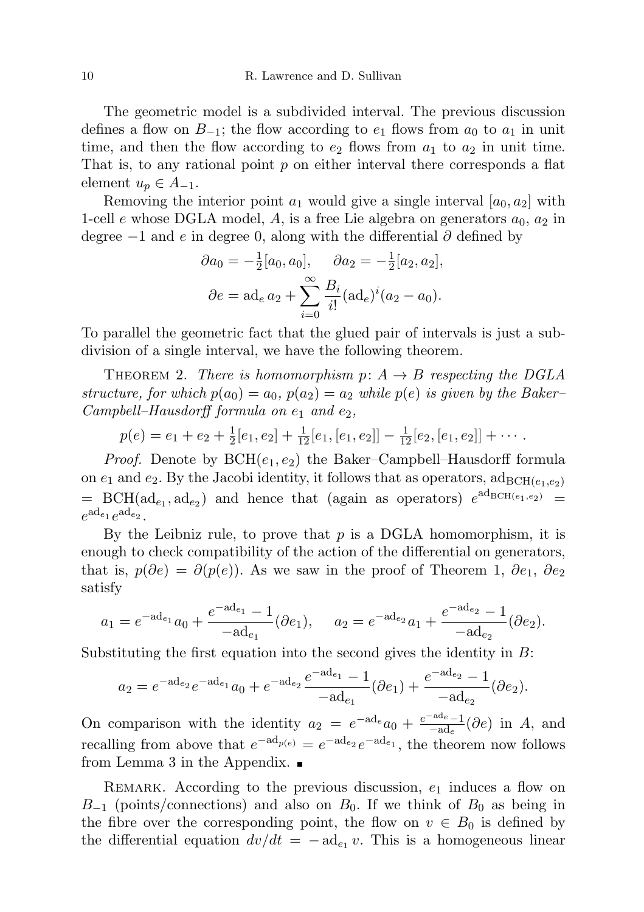The geometric model is a subdivided interval. The previous discussion defines a flow on  $B_{-1}$ ; the flow according to  $e_1$  flows from  $a_0$  to  $a_1$  in unit time, and then the flow according to  $e_2$  flows from  $a_1$  to  $a_2$  in unit time. That is, to any rational point  $p$  on either interval there corresponds a flat element  $u_p \in A_{-1}$ .

Removing the interior point  $a_1$  would give a single interval  $[a_0, a_2]$  with 1-cell e whose DGLA model, A, is a free Lie algebra on generators  $a_0$ ,  $a_2$  in degree  $-1$  and e in degree 0, along with the differential  $\partial$  defined by

$$
\partial a_0 = -\frac{1}{2}[a_0, a_0], \quad \partial a_2 = -\frac{1}{2}[a_2, a_2],
$$

$$
\partial e = \text{ad}_e a_2 + \sum_{i=0}^{\infty} \frac{B_i}{i!} (\text{ad}_e)^i (a_2 - a_0).
$$

To parallel the geometric fact that the glued pair of intervals is just a subdivision of a single interval, we have the following theorem.

THEOREM 2. There is homomorphism  $p: A \rightarrow B$  respecting the DGLA structure, for which  $p(a_0) = a_0$ ,  $p(a_2) = a_2$  while  $p(e)$  is given by the Baker-Campbell–Hausdorff formula on  $e_1$  and  $e_2$ ,

$$
p(e) = e_1 + e_2 + \frac{1}{2}[e_1, e_2] + \frac{1}{12}[e_1, [e_1, e_2]] - \frac{1}{12}[e_2, [e_1, e_2]] + \cdots
$$

*Proof.* Denote by  $BCH(e_1, e_2)$  the Baker–Campbell–Hausdorff formula on  $e_1$  and  $e_2$ . By the Jacobi identity, it follows that as operators,  $ad_{\text{BCH}(e_1,e_2)}$  $=$  BCH(ad<sub>e1</sub>, ad<sub>e2</sub>) and hence that (again as operators)  $e^{ad_{\text{BCH}(e_1,e_2)}}$  =  $e^{\operatorname{ad}_{e_1}}e^{\operatorname{ad}_{e_2}}.$ 

By the Leibniz rule, to prove that  $p$  is a DGLA homomorphism, it is enough to check compatibility of the action of the differential on generators, that is,  $p(\partial e) = \partial (p(e))$ . As we saw in the proof of Theorem 1,  $\partial e_1$ ,  $\partial e_2$ satisfy

$$
a_1 = e^{-ad_{e_1}}a_0 + \frac{e^{-ad_{e_1}} - 1}{-ad_{e_1}}(\partial e_1), \quad a_2 = e^{-ad_{e_2}}a_1 + \frac{e^{-ad_{e_2}} - 1}{-ad_{e_2}}(\partial e_2).
$$

Substituting the first equation into the second gives the identity in  $B$ :

$$
a_2 = e^{-ad_{e_2}}e^{-ad_{e_1}}a_0 + e^{-ad_{e_2}}\frac{e^{-ad_{e_1}}-1}{-ad_{e_1}}(\partial e_1) + \frac{e^{-ad_{e_2}}-1}{-ad_{e_2}}(\partial e_2).
$$

On comparison with the identity  $a_2 = e^{-ad_e} a_0 + \frac{e^{-ad_e}-1}{-ad_e}$  $\frac{-a_{\alpha}e-1}{-a_{\alpha}e}$  (∂e) in A, and recalling from above that  $e^{-ad_{p(e)}} = e^{-ad_{e_2}} e^{-ad_{e_1}},$  the theorem now follows from Lemma 3 in the Appendix.  $\blacksquare$ 

REMARK. According to the previous discussion,  $e_1$  induces a flow on  $B_{-1}$  (points/connections) and also on  $B_0$ . If we think of  $B_0$  as being in the fibre over the corresponding point, the flow on  $v \in B_0$  is defined by the differential equation  $dv/dt = -ad_{e_1}v$ . This is a homogeneous linear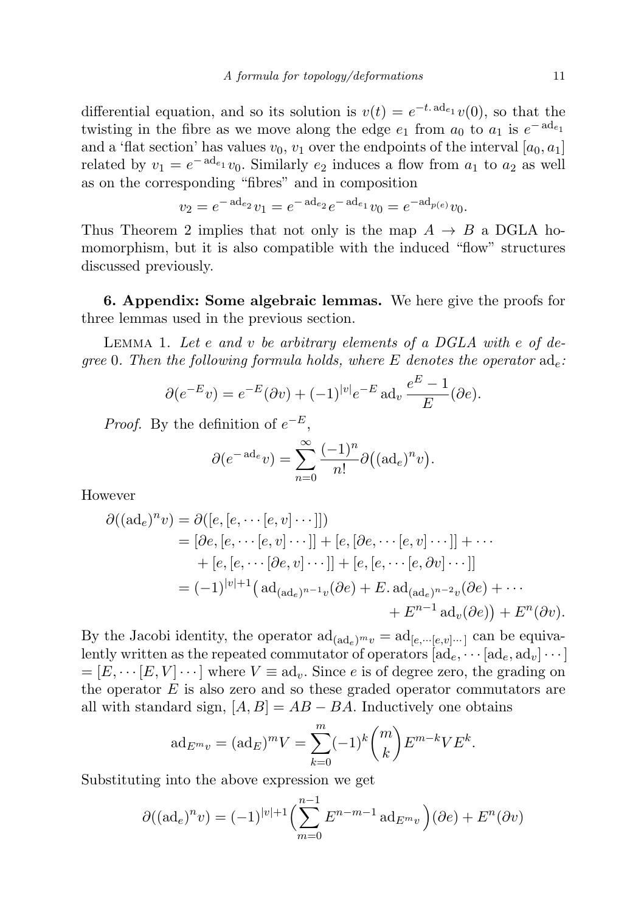differential equation, and so its solution is  $v(t) = e^{-t \cdot \text{ad}_{e_1}} v(0)$ , so that the twisting in the fibre as we move along the edge  $e_1$  from  $a_0$  to  $a_1$  is  $e^{-ad_{e_1}}$ and a 'flat section' has values  $v_0$ ,  $v_1$  over the endpoints of the interval  $[a_0, a_1]$ related by  $v_1 = e^{-ad_{e_1}}v_0$ . Similarly  $e_2$  induces a flow from  $a_1$  to  $a_2$  as well as on the corresponding "fibres" and in composition

$$
v_2 = e^{-ad_{e_2}} v_1 = e^{-ad_{e_2}} e^{-ad_{e_1}} v_0 = e^{-ad_{p(e)}} v_0.
$$

Thus Theorem 2 implies that not only is the map  $A \rightarrow B$  a DGLA homomorphism, but it is also compatible with the induced "flow" structures discussed previously.

6. Appendix: Some algebraic lemmas. We here give the proofs for three lemmas used in the previous section.

LEMMA 1. Let  $e$  and  $v$  be arbitrary elements of a DGLA with  $e$  of degree 0. Then the following formula holds, where E denotes the operator  $ad_e$ :

$$
\partial(e^{-E}v) = e^{-E}(\partial v) + (-1)^{|v|}e^{-E} \operatorname{ad}_v \frac{e^{E} - 1}{E}(\partial e).
$$

*Proof.* By the definition of  $e^{-E}$ ,

$$
\partial(e^{-\operatorname{ad}_e}v) = \sum_{n=0}^{\infty} \frac{(-1)^n}{n!} \partial((\operatorname{ad}_e)^n v).
$$

However

$$
\partial((\mathrm{ad}_e)^n v) = \partial([e, [e, \cdots [e, v] \cdots]])
$$
  
\n
$$
= [\partial e, [e, \cdots [e, v] \cdots]] + [e, [\partial e, \cdots [e, v] \cdots]] + \cdots
$$
  
\n
$$
+ [e, [e, \cdots [\partial e, v] \cdots]] + [e, [e, \cdots [e, \partial v] \cdots]]
$$
  
\n
$$
= (-1)^{|v|+1} (\mathrm{ad}_{(\mathrm{ad}_e)^{n-1}v}(\partial e) + E \cdot \mathrm{ad}_{(\mathrm{ad}_e)^{n-2}v}(\partial e) + \cdots
$$
  
\n
$$
+ E^{n-1} \mathrm{ad}_v(\partial e)) + E^n(\partial v).
$$

By the Jacobi identity, the operator  $\mathrm{ad}_{(\mathrm{ad}_e)^m v} = \mathrm{ad}_{[e,\cdots [e,v]\cdots]}$  can be equivalently written as the repeated commutator of operators  $[\text{ad}_e, \cdots, [\text{ad}_e, \text{ad}_v] \cdots]$  $=[E, \cdots [E, V] \cdots]$  where  $V \equiv ad_v$ . Since e is of degree zero, the grading on the operator  $E$  is also zero and so these graded operator commutators are all with standard sign,  $[A, B] = AB - BA$ . Inductively one obtains

$$
ad_{E^{m}v} = (ad_{E})^{m}V = \sum_{k=0}^{m} (-1)^{k} {m \choose k} E^{m-k}VE^{k}.
$$

Substituting into the above expression we get

$$
\partial((ad_e)^n v) = (-1)^{|v|+1} \left(\sum_{m=0}^{n-1} E^{n-m-1} ad_{E^m v}\right)(\partial e) + E^n(\partial v)
$$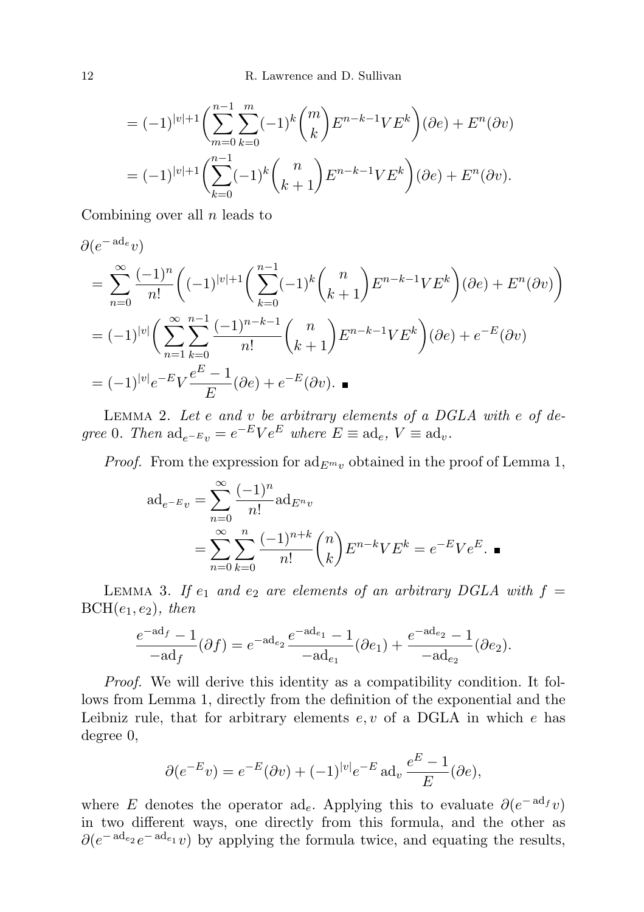12 R. Lawrence and D. Sullivan

$$
= (-1)^{|v|+1} \left( \sum_{m=0}^{n-1} \sum_{k=0}^{m} (-1)^k {m \choose k} E^{n-k-1} V E^k \right) (\partial e) + E^n (\partial v)
$$
  

$$
= (-1)^{|v|+1} \left( \sum_{k=0}^{n-1} (-1)^k {n \choose k+1} E^{n-k-1} V E^k \right) (\partial e) + E^n (\partial v).
$$

Combining over all  $n$  leads to

$$
\partial(e^{-ad_e}v)
$$
\n
$$
= \sum_{n=0}^{\infty} \frac{(-1)^n}{n!} \left( (-1)^{|v|+1} \left( \sum_{k=0}^{n-1} (-1)^k {n \choose k+1} E^{n-k-1} V E^k \right) (\partial e) + E^n (\partial v) \right)
$$
\n
$$
= (-1)^{|v|} \left( \sum_{n=1}^{\infty} \sum_{k=0}^{n-1} \frac{(-1)^{n-k-1}}{n!} {n \choose k+1} E^{n-k-1} V E^k \right) (\partial e) + e^{-E} (\partial v)
$$
\n
$$
= (-1)^{|v|} e^{-E} V \frac{e^{E} - 1}{E} (\partial e) + e^{-E} (\partial v).
$$

LEMMA 2. Let  $e$  and  $v$  be arbitrary elements of a DGLA with  $e$  of degree 0. Then  $ad_{e^{-E}v} = e^{-E}Ve^{E}$  where  $E \equiv ad_e$ ,  $V \equiv ad_v$ .

*Proof.* From the expression for  $ad_{E^{m}v}$  obtained in the proof of Lemma 1,

$$
ad_{e^{-E}v} = \sum_{n=0}^{\infty} \frac{(-1)^n}{n!} ad_{E^n v}
$$
  
= 
$$
\sum_{n=0}^{\infty} \sum_{k=0}^n \frac{(-1)^{n+k}}{n!} {n \choose k} E^{n-k} VE^k = e^{-E}Ve^{E}.
$$

LEMMA 3. If  $e_1$  and  $e_2$  are elements of an arbitrary DGLA with  $f =$  $BCH(e_1, e_2)$ , then

$$
\frac{e^{-ad_f}-1}{-ad_f}(\partial f) = e^{-ad_{e_2}} \frac{e^{-ad_{e_1}}-1}{-ad_{e_1}}(\partial e_1) + \frac{e^{-ad_{e_2}}-1}{-ad_{e_2}}(\partial e_2).
$$

Proof. We will derive this identity as a compatibility condition. It follows from Lemma 1, directly from the definition of the exponential and the Leibniz rule, that for arbitrary elements  $e, v$  of a DGLA in which  $e$  has degree 0,

$$
\partial(e^{-E}v) = e^{-E}(\partial v) + (-1)^{|v|}e^{-E} \operatorname{ad}_v \frac{e^{E} - 1}{E}(\partial e),
$$

where E denotes the operator ad<sub>e</sub>. Applying this to evaluate  $\partial(e^{-ad_f}v)$ in two different ways, one directly from this formula, and the other as  $\partial(e^{-ad_{e_2}}e^{-ad_{e_1}}v)$  by applying the formula twice, and equating the results,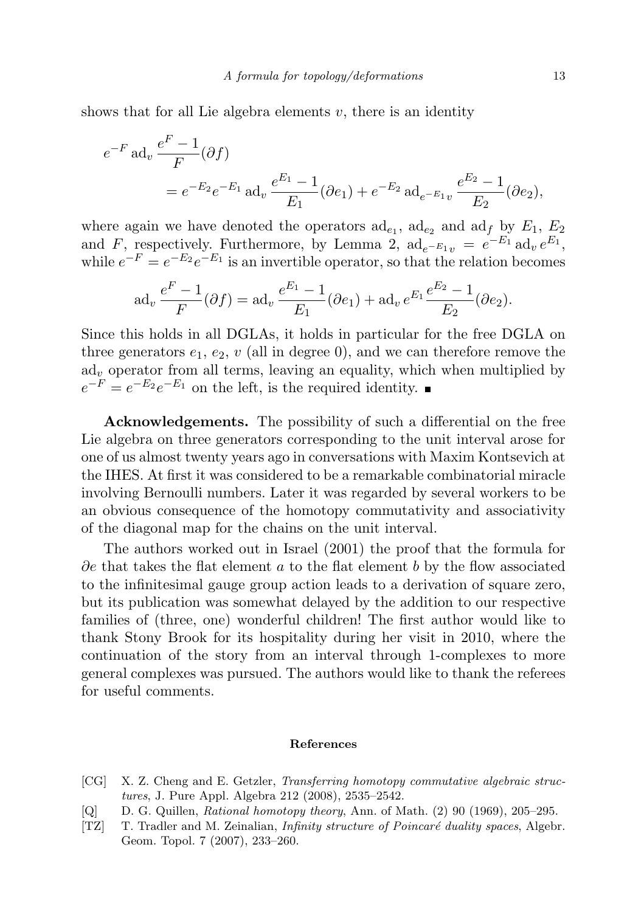shows that for all Lie algebra elements  $v$ , there is an identity

$$
e^{-F} \operatorname{ad}_v \frac{e^F - 1}{F} (\partial f)
$$
  
=  $e^{-E_2} e^{-E_1} \operatorname{ad}_v \frac{e^{E_1} - 1}{E_1} (\partial e_1) + e^{-E_2} \operatorname{ad}_{e^{-E_1}v} \frac{e^{E_2} - 1}{E_2} (\partial e_2),$ 

where again we have denoted the operators  $\text{ad}_{e_1}$ ,  $\text{ad}_{e_2}$  and  $\text{ad}_f$  by  $E_1$ ,  $E_2$ and F, respectively. Furthermore, by Lemma 2,  $ad_{e^{-E_1}v} = e^{-E_1} ad_v e^{E_1}$ , while  $e^{-F} = e^{-E_2}e^{-E_1}$  is an invertible operator, so that the relation becomes

$$
ad_v \frac{e^F - 1}{F}(\partial f) = ad_v \frac{e^{E_1} - 1}{E_1}(\partial e_1) + ad_v e^{E_1} \frac{e^{E_2} - 1}{E_2}(\partial e_2).
$$

Since this holds in all DGLAs, it holds in particular for the free DGLA on three generators  $e_1, e_2, v$  (all in degree 0), and we can therefore remove the  $ad<sub>v</sub>$  operator from all terms, leaving an equality, which when multiplied by  $e^{-F} = e^{-E_2}e^{-E_1}$  on the left, is the required identity.

Acknowledgements. The possibility of such a differential on the free Lie algebra on three generators corresponding to the unit interval arose for one of us almost twenty years ago in conversations with Maxim Kontsevich at the IHES. At first it was considered to be a remarkable combinatorial miracle involving Bernoulli numbers. Later it was regarded by several workers to be an obvious consequence of the homotopy commutativity and associativity of the diagonal map for the chains on the unit interval.

The authors worked out in Israel (2001) the proof that the formula for  $\partial e$  that takes the flat element a to the flat element b by the flow associated to the infinitesimal gauge group action leads to a derivation of square zero, but its publication was somewhat delayed by the addition to our respective families of (three, one) wonderful children! The first author would like to thank Stony Brook for its hospitality during her visit in 2010, where the continuation of the story from an interval through 1-complexes to more general complexes was pursued. The authors would like to thank the referees for useful comments.

## References

- <span id="page-12-2"></span>[CG] X. Z. Cheng and E. Getzler, Transferring homotopy commutative algebraic structures, J. Pure Appl. Algebra 212 (2008), 2535–2542.
- <span id="page-12-0"></span>[Q] D. G. Quillen, Rational homotopy theory, Ann. of Math. (2) 90 (1969), 205–295.
- <span id="page-12-1"></span>[TZ] T. Tradler and M. Zeinalian, *Infinity structure of Poincaré duality spaces*, Algebr. Geom. Topol. 7 (2007), 233–260.